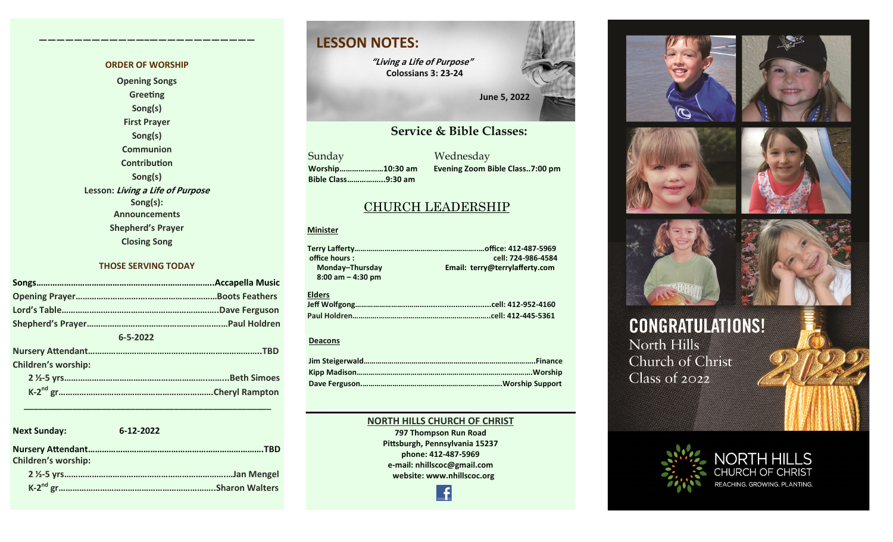#### **ORDER OF WORSHIP**

**————————————–————————————**

**Opening Songs Greeting Song(s) First Prayer Song(s) Communion Contribution Song(s) Lesson: Living a Life of Purpose Song(s): Announcements Shepherd's Prayer Closing Song**

#### **THOSE SERVING TODAY**

| $6 - 5 - 2022$             |
|----------------------------|
|                            |
| <b>Children's worship:</b> |
|                            |
|                            |
|                            |

| <b>Next Sunday:</b>        | 6-12-2022              |
|----------------------------|------------------------|
| <b>Children's worship:</b> | <b>TRD</b>             |
|                            |                        |
|                            | <b>.Sharon Walters</b> |

 **\_\_\_\_\_\_\_\_\_\_\_\_\_\_\_\_\_\_\_\_\_\_\_\_\_\_\_\_\_\_\_\_\_\_\_\_\_\_\_\_\_\_\_\_\_\_\_\_\_\_\_**

### **LESSON NOTES:**

**"Living a Life of Purpose" Colossians 3: 23-24**

 **June 5, 2022**

#### **Service & Bible Classes:**

Sunday Wednesday **Bible Class……………...9:30 am**

**Worship…………………10:30 am Evening Zoom Bible Class..7:00 pm**

### CHURCH LEADERSHIP

#### **Minister**

**Terry Lafferty……………………………………………………..…office: 412-487-5969 office hours : cell: 724-986-4584** Email: terry@terrylafferty.com  **8:00 am – 4:30 pm**

#### **Elders**

#### **Deacons**

#### **NORTH HILLS CHURCH OF CHRIST 797 Thompson Run Road**

**Pittsburgh, Pennsylvania 15237 phone: 412-487-5969 e-mail: nhillscoc@gmail.com website: www.nhillscoc.org** 

f











# **CONGRATULATIONS!**

North Hills Church of Christ Class of 2022